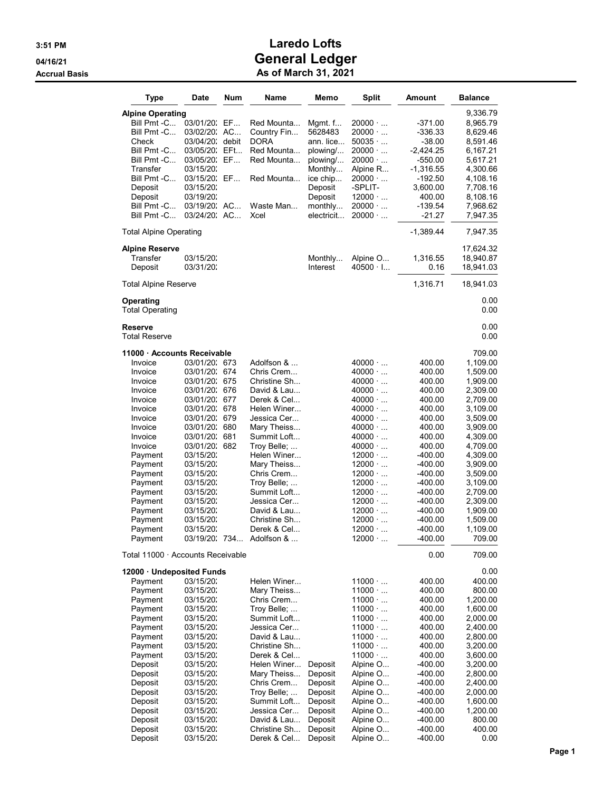| Type                                   | Date                           | Num | Name                        | Memo                | <b>Split</b>                     | Amount              | <b>Balance</b>       |
|----------------------------------------|--------------------------------|-----|-----------------------------|---------------------|----------------------------------|---------------------|----------------------|
| <b>Alpine Operating</b>                |                                |     |                             |                     |                                  |                     | 9,336.79             |
| Bill Pmt -C                            | 03/01/20: EF                   |     | Red Mounta                  | Mgmt. f             | $20000 \cdot $                   | -371.00             | 8,965.79             |
| Bill Pmt -C                            | 03/02/20: AC                   |     | Country Fin                 | 5628483             | $20000 \cdot $                   | -336.33             | 8,629.46             |
| Check                                  | 03/04/20; debit                |     | DORA                        | ann. lice           | 50035                            | $-38.00$            | 8,591.46             |
| Bill Pmt -C                            | 03/05/20: EFt                  |     | Red Mounta                  | plowing/            | $20000 \cdot $                   | $-2,424.25$         | 6,167.21             |
| Bill Pmt -C                            | 03/05/20: EF                   |     | Red Mounta                  | plowing/            | $20000 \cdot $                   | $-550.00$           | 5,617.21             |
| Transfer                               | 03/15/20:                      |     |                             | Monthly             | Alpine R                         | $-1,316.55$         | 4,300.66             |
| Bill Pmt -C<br>Deposit                 | 03/15/20: EF<br>03/15/20:      |     | Red Mounta                  | ice chip<br>Deposit | $20000 \cdot $<br>-SPLIT-        | -192.50<br>3,600.00 | 4,108.16<br>7,708.16 |
| Deposit                                | 03/19/20:                      |     |                             | Deposit             | $12000 \cdot $                   | 400.00              | 8,108.16             |
| Bill Pmt -C                            | 03/19/20: AC                   |     | Waste Man                   | monthly             | $20000 \cdot $                   | $-139.54$           | 7,968.62             |
| Bill Pmt -C                            | 03/24/20: AC                   |     | Xcel                        | electricit          | $20000 \cdot $                   | $-21.27$            | 7,947.35             |
| <b>Total Alpine Operating</b>          |                                |     |                             |                     |                                  | $-1,389.44$         | 7,947.35             |
| <b>Alpine Reserve</b>                  |                                |     |                             |                     |                                  |                     | 17,624.32            |
| Transfer                               | 03/15/20:                      |     |                             | Monthly             | Alpine O                         | 1,316.55            | 18,940.87            |
| Deposit                                | 03/31/20:                      |     |                             | Interest            | $40500 \cdot 1$                  | 0.16                | 18,941.03            |
| <b>Total Alpine Reserve</b>            |                                |     |                             |                     |                                  | 1,316.71            | 18,941.03            |
| Operating                              |                                |     |                             |                     |                                  |                     | 0.00<br>0.00         |
| <b>Total Operating</b>                 |                                |     |                             |                     |                                  |                     |                      |
| <b>Reserve</b><br><b>Total Reserve</b> |                                |     |                             |                     |                                  |                     | 0.00<br>0.00         |
| 11000 - Accounts Receivable            |                                |     |                             |                     |                                  |                     | 709.00               |
| Invoice                                | 03/01/20: 673                  |     | Adolfson &                  |                     | $40000 \cdot $                   | 400.00              | 1,109.00             |
| Invoice                                | 03/01/20: 674                  |     | Chris Crem                  |                     | $40000 \cdot $                   | 400.00              | 1,509.00             |
| Invoice                                | 03/01/20: 675                  |     | Christine Sh                |                     | $40000 \cdot $                   | 400.00              | 1,909.00             |
| Invoice                                | 03/01/20: 676                  |     | David & Lau                 |                     | $40000 \cdot $                   | 400.00              | 2,309.00             |
| Invoice                                | 03/01/20: 677                  |     | Derek & Cel                 |                     | $40000 \cdot $                   | 400.00              | 2,709.00             |
| Invoice<br>Invoice                     | 03/01/20: 678<br>03/01/20: 679 |     | Helen Winer<br>Jessica Cer… |                     | $40000 \cdot $<br>$40000 \cdot $ | 400.00<br>400.00    | 3,109.00<br>3,509.00 |
| Invoice                                | 03/01/20: 680                  |     | Mary Theiss                 |                     | $40000 \cdot $                   | 400.00              | 3,909.00             |
| Invoice                                | 03/01/20: 681                  |     | Summit Loft                 |                     | $40000 \cdot $                   | 400.00              | 4,309.00             |
| Invoice                                | 03/01/20: 682                  |     | Troy Belle;                 |                     | $40000 \cdot $                   | 400.00              | 4,709.00             |
| Payment                                | 03/15/20:                      |     | Helen Winer                 |                     | $12000 \cdot $                   | -400.00             | 4,309.00             |
| Payment                                | 03/15/20:                      |     | Mary Theiss                 |                     | $12000 \cdot $                   | $-400.00$           | 3,909.00             |
| Payment                                | 03/15/20:                      |     | Chris Crem                  |                     | $12000 \cdot $                   | $-400.00$           | 3,509.00             |
| Payment                                | 03/15/20:                      |     | Troy Belle;                 |                     | $12000 \cdot $                   | -400.00             | 3,109.00             |
| Payment                                | 03/15/20:                      |     | Summit Loft                 |                     | $12000 \cdot $                   | -400.00             | 2,709.00             |
| Payment<br>Payment                     | 03/15/20:<br>03/15/20:         |     | Jessica Cer…<br>David & Lau |                     | $12000 \cdot $<br>$12000 \cdot $ | -400.00<br>-400.00  | 2,309.00<br>1,909.00 |
| Payment                                | 03/15/20:                      |     | Christine Sh                |                     | $12000 \cdot $                   | -400.00             | 1,509.00             |
| Payment                                | 03/15/20:                      |     | Derek & Cel                 |                     | $12000 \cdot $                   | -400.00             | 1,109.00             |
| Payment                                |                                |     | 03/19/20: 734 Adolfson &    |                     | $12000 \cdot $                   | $-400.00$           | 709.00               |
| Total 11000 · Accounts Receivable      |                                |     |                             |                     |                                  | 0.00                | 709.00               |
| 12000 Undeposited Funds                |                                |     |                             |                     |                                  |                     | 0.00                 |
| Payment                                | 03/15/20:                      |     | Helen Winer                 |                     | $11000 \cdot $                   | 400.00              | 400.00               |
| Payment                                | 03/15/20.                      |     | Mary Theiss                 |                     | $11000 \cdot $                   | 400.00              | 800.00               |
| Payment                                | 03/15/20:                      |     | Chris Crem                  |                     | $11000 \cdot $                   | 400.00              | 1,200.00             |
| Payment                                | 03/15/20:                      |     | Troy Belle;<br>Summit Loft  |                     | 11000<br>$11000 \cdot $          | 400.00              | 1,600.00             |
| Payment<br>Payment                     | 03/15/20:<br>03/15/20:         |     | Jessica Cer…                |                     | $11000 \cdot $                   | 400.00<br>400.00    | 2,000.00<br>2,400.00 |
| Payment                                | 03/15/20:                      |     | David & Lau                 |                     | $11000 \cdot $                   | 400.00              | 2,800.00             |
| Payment                                | 03/15/20:                      |     | Christine Sh                |                     | $11000 \cdot $                   | 400.00              | 3,200.00             |
| Payment                                | 03/15/20:                      |     | Derek & Cel                 |                     | $11000 \cdot $                   | 400.00              | 3,600.00             |
| Deposit                                | 03/15/20:                      |     | Helen Winer                 | Deposit             | Alpine O                         | -400.00             | 3,200.00             |
| Deposit                                | 03/15/20:                      |     | Mary Theiss                 | Deposit             | Alpine O                         | -400.00             | 2,800.00             |
| Deposit                                | 03/15/20:                      |     | Chris Crem                  | Deposit             | Alpine O                         | -400.00             | 2,400.00             |
| Deposit                                | 03/15/20:                      |     | Troy Belle;                 | Deposit             | Alpine O                         | -400.00             | 2,000.00             |
| Deposit                                | 03/15/20:                      |     | Summit Loft                 | Deposit             | Alpine O                         | -400.00             | 1,600.00             |
| Deposit<br>Deposit                     | 03/15/20:<br>03/15/20:         |     | Jessica Cer…<br>David & Lau | Deposit<br>Deposit  | Alpine O<br>Alpine O             | -400.00<br>-400.00  | 1,200.00<br>800.00   |
| Deposit                                | 03/15/20:                      |     | Christine Sh                | Deposit             | Alpine O                         | -400.00             | 400.00               |
| Deposit                                | 03/15/20.                      |     | Derek & Cel                 | Deposit             | Alpine O                         | -400.00             | 0.00                 |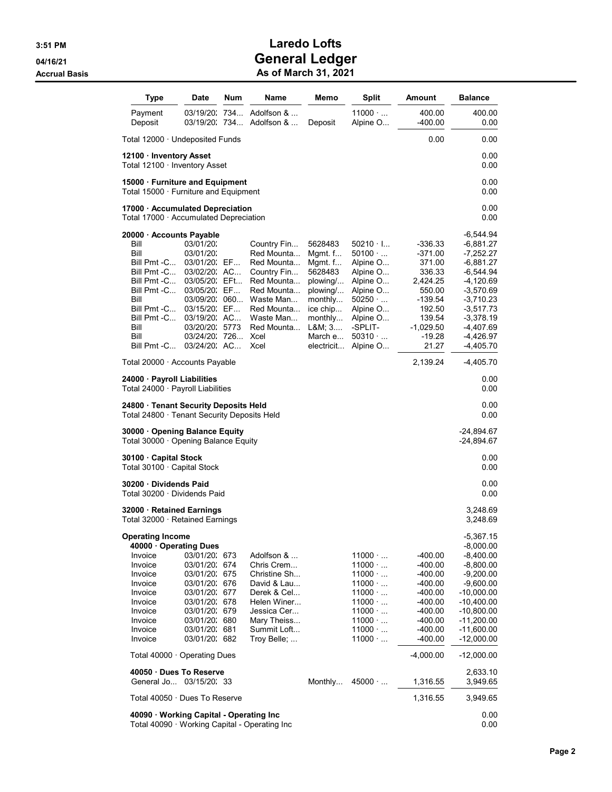| Type                                                                                                                                                                                                                                                    | Date                                                                                                                                                                                        | Num | Name                                                                                                                                                     | Memo                                                                                                                                     | <b>Split</b>                                                                                                                                                                                       | Amount                                                                                                                                    | <b>Balance</b>                                                                                                                                                                                                     |
|---------------------------------------------------------------------------------------------------------------------------------------------------------------------------------------------------------------------------------------------------------|---------------------------------------------------------------------------------------------------------------------------------------------------------------------------------------------|-----|----------------------------------------------------------------------------------------------------------------------------------------------------------|------------------------------------------------------------------------------------------------------------------------------------------|----------------------------------------------------------------------------------------------------------------------------------------------------------------------------------------------------|-------------------------------------------------------------------------------------------------------------------------------------------|--------------------------------------------------------------------------------------------------------------------------------------------------------------------------------------------------------------------|
| Payment<br>Deposit                                                                                                                                                                                                                                      | 03/19/20:<br>03/19/20. 734                                                                                                                                                                  | 734 | Adolfson &<br>Adolfson &                                                                                                                                 | Deposit                                                                                                                                  | $11000 \cdot $<br>Alpine O                                                                                                                                                                         | 400.00<br>$-400.00$                                                                                                                       | 400.00<br>0.00                                                                                                                                                                                                     |
| Total $12000 \cdot$ Undeposited Funds                                                                                                                                                                                                                   |                                                                                                                                                                                             |     |                                                                                                                                                          |                                                                                                                                          |                                                                                                                                                                                                    | 0.00                                                                                                                                      | 0.00                                                                                                                                                                                                               |
| 12100 Inventory Asset<br>Total 12100 · Inventory Asset                                                                                                                                                                                                  |                                                                                                                                                                                             |     |                                                                                                                                                          |                                                                                                                                          |                                                                                                                                                                                                    |                                                                                                                                           | 0.00<br>0.00                                                                                                                                                                                                       |
| 15000 · Furniture and Equipment<br>Total 15000 · Furniture and Equipment                                                                                                                                                                                |                                                                                                                                                                                             |     |                                                                                                                                                          |                                                                                                                                          |                                                                                                                                                                                                    |                                                                                                                                           | 0.00<br>0.00                                                                                                                                                                                                       |
| 17000 · Accumulated Depreciation<br>Total 17000 · Accumulated Depreciation                                                                                                                                                                              |                                                                                                                                                                                             |     |                                                                                                                                                          |                                                                                                                                          |                                                                                                                                                                                                    |                                                                                                                                           | 0.00<br>0.00                                                                                                                                                                                                       |
| 20000 · Accounts Payable<br>Bill<br>Bill<br>Bill Pmt -C<br>Bill Pmt -C<br>Bill Pmt -C<br>Bill Pmt -C<br>Bill<br>Bill Pmt -C<br>Bill Pmt -C<br>Bill<br>Bill<br>Bill Pmt -C                                                                               | 03/01/20:<br>03/01/20:<br>03/01/20: EF<br>03/02/20: AC<br>03/05/20: EFt<br>03/05/20: EF<br>03/09/20: 060<br>03/15/20: EF<br>03/19/20: AC<br>03/20/20: 5773<br>03/24/20: 726<br>03/24/20: AC |     | Country Fin<br>Red Mounta<br>Red Mounta<br>Country Fin<br>Red Mounta<br>Red Mounta<br>Waste Man<br>Red Mounta<br>Waste Man<br>Red Mounta<br>Xcel<br>Xcel | 5628483<br>Mgmt. $f$<br>Mgmt. $f$<br>5628483<br>plowing/<br>plowing/<br>monthly<br>ice chip<br>monthly<br>L&M 3<br>March e<br>electricit | $50210 \cdot$ I<br>$50100 \cdot $<br>Alpine O<br>Alpine O<br>Alpine O<br>Alpine O<br>50250<br>Alpine O<br>Alpine O<br>-SPLIT-<br>$50310 \cdot \ldots$<br>Alpine O                                  | -336.33<br>$-371.00$<br>371.00<br>336.33<br>2,424.25<br>550.00<br>$-139.54$<br>192.50<br>139.54<br>$-1,029.50$<br>$-19.28$<br>21.27       | -6,544.94<br>-6,881.27<br>-7,252.27<br>-6,881.27<br>-6,544.94<br>-4,120.69<br>-3,570.69<br>-3,710.23<br>-3,517.73<br>-3,378.19<br>$-4,407.69$<br>-4,426.97<br>-4,405.70                                            |
| Total 20000 · Accounts Payable                                                                                                                                                                                                                          |                                                                                                                                                                                             |     |                                                                                                                                                          |                                                                                                                                          |                                                                                                                                                                                                    | 2,139.24                                                                                                                                  | -4,405.70                                                                                                                                                                                                          |
| 24000 · Payroll Liabilities<br>Total 24000 · Payroll Liabilities                                                                                                                                                                                        |                                                                                                                                                                                             |     |                                                                                                                                                          |                                                                                                                                          |                                                                                                                                                                                                    |                                                                                                                                           | 0.00<br>0.00                                                                                                                                                                                                       |
| 24800 · Tenant Security Deposits Held<br>Total 24800 · Tenant Security Deposits Held                                                                                                                                                                    |                                                                                                                                                                                             |     |                                                                                                                                                          |                                                                                                                                          |                                                                                                                                                                                                    |                                                                                                                                           | 0.00<br>0.00                                                                                                                                                                                                       |
| 30000 Opening Balance Equity<br>Total 30000 · Opening Balance Equity                                                                                                                                                                                    |                                                                                                                                                                                             |     |                                                                                                                                                          |                                                                                                                                          |                                                                                                                                                                                                    |                                                                                                                                           | -24,894.67<br>-24,894.67                                                                                                                                                                                           |
| 30100 · Capital Stock<br>Total 30100 · Capital Stock                                                                                                                                                                                                    |                                                                                                                                                                                             |     |                                                                                                                                                          |                                                                                                                                          |                                                                                                                                                                                                    |                                                                                                                                           | 0.00<br>0.00                                                                                                                                                                                                       |
| 30200 Dividends Paid<br>Total 30200 · Dividends Paid                                                                                                                                                                                                    |                                                                                                                                                                                             |     |                                                                                                                                                          |                                                                                                                                          |                                                                                                                                                                                                    |                                                                                                                                           | 0.00<br>0.00                                                                                                                                                                                                       |
| 32000 · Retained Earnings<br>Total 32000 $\cdot$ Retained Earnings                                                                                                                                                                                      |                                                                                                                                                                                             |     |                                                                                                                                                          |                                                                                                                                          |                                                                                                                                                                                                    |                                                                                                                                           | 3,248.69<br>3,248.69                                                                                                                                                                                               |
| <b>Operating Income</b><br>40000 Operating Dues<br>Invoice<br>Invoice<br>Invoice<br>Invoice<br>Invoice<br>Invoice<br>Invoice<br>Invoice<br>Invoice<br>Invoice<br>Total $40000 \cdot$ Operating Dues<br>40050 Dues To Reserve<br>General Jo 03/15/20: 33 | 03/01/20: 673<br>03/01/20: 674<br>03/01/20: 675<br>03/01/20: 676<br>03/01/20: 677<br>03/01/20: 678<br>03/01/20: 679<br>03/01/20: 680<br>03/01/20: 681<br>03/01/20: 682                      |     | Adolfson &<br>Chris Crem<br>Christine Sh<br>David & Lau<br>Derek & Cel<br>Helen Winer<br>Jessica Cer<br>Mary Theiss<br>Summit Loft<br>Troy Belle;        | Monthly                                                                                                                                  | $11000 \cdot $<br>$11000 \cdot $<br>$11000 \cdot $<br>$11000 \cdot $<br>$11000 \cdot $<br>$11000 \cdot $<br>$11000 \cdot $<br>$11000 \cdot $<br>$11000 \cdot $<br>$11000 \cdot $<br>$45000 \cdot $ | -400.00<br>-400.00<br>-400.00<br>-400.00<br>-400.00<br>-400.00<br>-400.00<br>$-400.00$<br>-400.00<br>$-400.00$<br>$-4,000.00$<br>1,316.55 | $-5,367.15$<br>$-8,000.00$<br>$-8,400.00$<br>-8,800.00<br>$-9,200.00$<br>$-9,600.00$<br>-10,000.00<br>-10,400.00<br>-10,800.00<br>$-11,200.00$<br>-11,600.00<br>$-12,000.00$<br>-12,000.00<br>2,633.10<br>3,949.65 |
| Total 40050 · Dues To Reserve                                                                                                                                                                                                                           |                                                                                                                                                                                             |     |                                                                                                                                                          |                                                                                                                                          |                                                                                                                                                                                                    | 1,316.55                                                                                                                                  | 3,949.65                                                                                                                                                                                                           |
| 40090 · Working Capital - Operating Inc<br>Total 40090 · Working Capital - Operating Inc                                                                                                                                                                |                                                                                                                                                                                             |     |                                                                                                                                                          |                                                                                                                                          |                                                                                                                                                                                                    |                                                                                                                                           | 0.00<br>0.00                                                                                                                                                                                                       |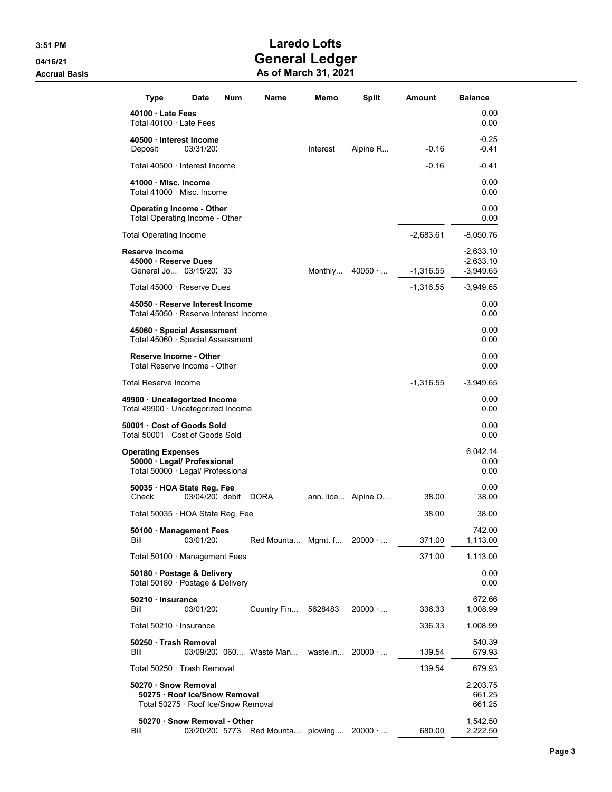| Type                                                                                 | Date                                                                 | Num | Name                   | Memo                    | <b>Split</b>       | Amount      | <b>Balance</b>                            |
|--------------------------------------------------------------------------------------|----------------------------------------------------------------------|-----|------------------------|-------------------------|--------------------|-------------|-------------------------------------------|
| 40100 Late Fees<br>Total 40100 · Late Fees                                           |                                                                      |     |                        |                         |                    |             | 0.00<br>0.00                              |
| 40500 Interest Income<br>Deposit                                                     | 03/31/20.                                                            |     |                        | Interest                | Alpine R           | $-0.16$     | $-0.25$<br>$-0.41$                        |
| Total 40500 · Interest Income                                                        |                                                                      |     |                        |                         |                    | $-0.16$     | -0.41                                     |
| 41000 Misc. Income<br>Total 41000 · Misc. Income                                     |                                                                      |     |                        |                         |                    |             | 0.00<br>0.00                              |
| <b>Operating Income - Other</b><br>Total Operating Income - Other                    |                                                                      |     |                        |                         |                    |             | 0.00<br>0.00                              |
| Total Operating Income                                                               |                                                                      |     |                        |                         |                    | -2,683.61   | -8,050.76                                 |
| Reserve Income<br>45000 · Reserve Dues<br>General Jo 03/15/20: 33                    |                                                                      |     |                        | Monthly                 | 40050              | -1,316.55   | $-2,633.10$<br>$-2,633.10$<br>$-3,949.65$ |
| Total 45000 · Reserve Dues                                                           |                                                                      |     |                        |                         |                    | $-1,316.55$ | -3,949.65                                 |
| 45050 · Reserve Interest Income<br>Total 45050 · Reserve Interest Income             |                                                                      |     |                        |                         |                    |             | 0.00<br>0.00                              |
| 45060 Special Assessment<br>Total 45060 · Special Assessment                         |                                                                      |     |                        |                         |                    |             | 0.00<br>0.00                              |
| <b>Reserve Income - Other</b><br>Total Reserve Income - Other                        |                                                                      |     |                        |                         |                    |             | 0.00<br>0.00                              |
| Total Reserve Income                                                                 |                                                                      |     |                        |                         |                    | -1,316.55   | $-3,949.65$                               |
| 49900 · Uncategorized Income<br>Total 49900 · Uncategorized Income                   |                                                                      |     |                        |                         |                    |             | 0.00<br>0.00                              |
| 50001 Cost of Goods Sold<br>Total 50001 · Cost of Goods Sold                         |                                                                      |     |                        |                         |                    |             | 0.00<br>0.00                              |
| Operating Expenses<br>50000 Legal/ Professional<br>Total 50000 · Legal/ Professional |                                                                      |     |                        |                         |                    |             | 6,042.14<br>0.00<br>0.00                  |
| 50035 HOA State Reg. Fee<br>Check                                                    | 03/04/20; debit                                                      |     | DORA                   |                         | ann. lice Alpine O | 38.00       | 0.00<br>38.00                             |
| Total 50035 · HOA State Reg. Fee                                                     |                                                                      |     |                        |                         |                    | 38.00       | 38.00                                     |
| 50100 · Management Fees<br>Bill                                                      | 03/01/20:                                                            |     | Red Mounta Mgmt. f     |                         | $20000 \cdot $     | 371.00      | 742.00<br>1,113.00                        |
| Total 50100 · Management Fees                                                        |                                                                      |     |                        |                         |                    | 371.00      | 1,113.00                                  |
| 50180 · Postage & Delivery<br>Total 50180 · Postage & Delivery                       |                                                                      |     |                        |                         |                    |             | 0.00<br>0.00                              |
| 50210 Insurance<br>Bill                                                              | 03/01/20:                                                            |     | Country Fin            | 5628483                 | $20000 \cdot $     | 336.33      | 672.66<br>1,008.99                        |
| Total 50210 · Insurance                                                              |                                                                      |     |                        |                         |                    | 336.33      | 1,008.99                                  |
| 50250 Trash Removal<br>Bill                                                          |                                                                      |     | 03/09/20 060 Waste Man | waste.in $20000 \cdot $ |                    | 139.54      | 540.39<br>679.93                          |
| Total 50250 · Trash Removal                                                          |                                                                      |     |                        |                         |                    | 139.54      | 679.93                                    |
| 50270 Snow Removal                                                                   | 50275 · Roof Ice/Snow Removal<br>Total 50275 · Roof Ice/Snow Removal |     |                        |                         |                    |             | 2,203.75<br>661.25<br>661.25              |
| Bill                                                                                 | 50270 · Snow Removal - Other<br>03/20/20: 5773                       |     | Red Mounta plowing     |                         | $20000 \cdot $     | 680.00      | 1,542.50<br>2,222.50                      |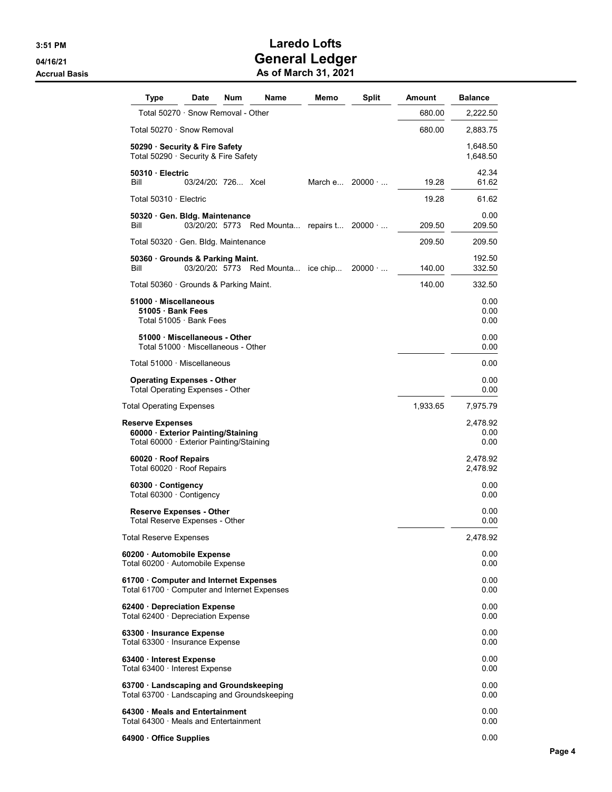| Type                                                                                                    | Date               | Num | <b>Name</b>                         | Memo     | <b>Split</b>   | Amount   | <b>Balance</b>           |
|---------------------------------------------------------------------------------------------------------|--------------------|-----|-------------------------------------|----------|----------------|----------|--------------------------|
| Total 50270 · Snow Removal - Other                                                                      |                    |     |                                     |          |                | 680.00   | 2,222.50                 |
| Total 50270 · Snow Removal                                                                              |                    |     |                                     |          |                | 680.00   | 2,883.75                 |
| 50290 · Security & Fire Safety<br>Total 50290 · Security & Fire Safety                                  |                    |     |                                     |          |                |          | 1,648.50<br>1,648.50     |
| 50310 Electric<br>Bill                                                                                  | 03/24/20 726  Xcel |     |                                     | March e  | $20000 \cdot $ | 19.28    | 42.34<br>61.62           |
| Total 50310 · Electric                                                                                  |                    |     |                                     |          |                | 19.28    | 61.62                    |
| 50320 Gen. Bldg. Maintenance<br>Bill                                                                    |                    |     | 03/20/20: 5773 Red Mounta repairs t |          | $20000 \cdot $ | 209.50   | 0.00<br>209.50           |
| Total 50320 · Gen. Bldg. Maintenance                                                                    |                    |     |                                     |          |                | 209.50   | 209.50                   |
| 50360 · Grounds & Parking Maint.<br>Bill                                                                | 03/20/20: 5773     |     | Red Mounta                          | ice chip | $20000 \cdot $ | 140.00   | 192.50<br>332.50         |
| Total 50360 · Grounds & Parking Maint.                                                                  |                    |     |                                     |          |                | 140.00   | 332.50                   |
| 51000 Miscellaneous<br>51005 · Bank Fees<br>Total 51005 · Bank Fees                                     |                    |     |                                     |          |                |          | 0.00<br>0.00<br>0.00     |
| 51000 Miscellaneous - Other<br>Total 51000 · Miscellaneous - Other                                      |                    |     |                                     |          |                |          | 0.00<br>0.00             |
| Total $51000 \cdot$ Miscellaneous                                                                       |                    |     |                                     |          |                |          | 0.00                     |
| <b>Operating Expenses - Other</b><br><b>Total Operating Expenses - Other</b>                            |                    |     |                                     |          |                |          | 0.00<br>0.00             |
| <b>Total Operating Expenses</b>                                                                         |                    |     |                                     |          |                | 1,933.65 | 7,975.79                 |
| <b>Reserve Expenses</b><br>60000 Exterior Painting/Staining<br>Total 60000 · Exterior Painting/Staining |                    |     |                                     |          |                |          | 2,478.92<br>0.00<br>0.00 |
| 60020 · Roof Repairs<br>Total 60020 · Roof Repairs                                                      |                    |     |                                     |          |                |          | 2,478.92<br>2,478.92     |
| 60300 Contigency<br>Total 60300 · Contigency                                                            |                    |     |                                     |          |                |          | 0.00<br>0.00             |
| <b>Reserve Expenses - Other</b><br>Total Reserve Expenses - Other                                       |                    |     |                                     |          |                |          | 0.00<br>0.00             |
| Total Reserve Expenses                                                                                  |                    |     |                                     |          |                |          | 2,478.92                 |
| 60200 Automobile Expense<br>Total 60200 $\cdot$ Automobile Expense                                      |                    |     |                                     |          |                |          | 0.00<br>0.00             |
| 61700 Computer and Internet Expenses<br>Total 61700 · Computer and Internet Expenses                    |                    |     |                                     |          |                |          | 0.00<br>0.00             |
| 62400 Depreciation Expense<br>Total 62400 · Depreciation Expense                                        |                    |     |                                     |          |                |          | 0.00<br>0.00             |
| 63300 · Insurance Expense<br>Total 63300 · Insurance Expense                                            |                    |     |                                     |          |                |          | 0.00<br>0.00             |
| 63400 · Interest Expense<br>Total $63400 \cdot$ Interest Expense                                        |                    |     |                                     |          |                |          | 0.00<br>0.00             |
| 63700 · Landscaping and Groundskeeping<br>Total 63700 · Landscaping and Groundskeeping                  |                    |     |                                     |          |                |          | 0.00<br>0.00             |
| 64300 Meals and Entertainment<br>Total 64300 · Meals and Entertainment                                  |                    |     |                                     |          |                |          | 0.00<br>0.00             |
| 64900 Office Supplies                                                                                   |                    |     |                                     |          |                |          | 0.00                     |